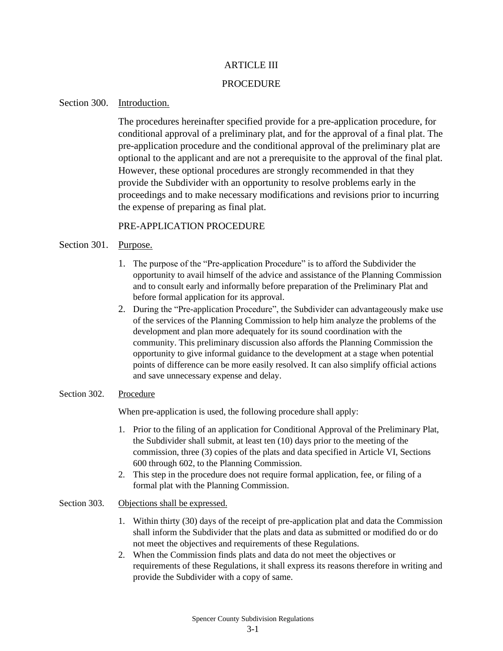## ARTICLE III

## PROCEDURE

# Section 300. Introduction.

The procedures hereinafter specified provide for a pre-application procedure, for conditional approval of a preliminary plat, and for the approval of a final plat. The pre-application procedure and the conditional approval of the preliminary plat are optional to the applicant and are not a prerequisite to the approval of the final plat. However, these optional procedures are strongly recommended in that they provide the Subdivider with an opportunity to resolve problems early in the proceedings and to make necessary modifications and revisions prior to incurring the expense of preparing as final plat.

# PRE-APPLICATION PROCEDURE

# Section 301. Purpose.

- 1. The purpose of the "Pre-application Procedure" is to afford the Subdivider the opportunity to avail himself of the advice and assistance of the Planning Commission and to consult early and informally before preparation of the Preliminary Plat and before formal application for its approval.
- 2. During the "Pre-application Procedure", the Subdivider can advantageously make use of the services of the Planning Commission to help him analyze the problems of the development and plan more adequately for its sound coordination with the community. This preliminary discussion also affords the Planning Commission the opportunity to give informal guidance to the development at a stage when potential points of difference can be more easily resolved. It can also simplify official actions and save unnecessary expense and delay.

## Section 302. Procedure

When pre-application is used, the following procedure shall apply:

- 1. Prior to the filing of an application for Conditional Approval of the Preliminary Plat, the Subdivider shall submit, at least ten (10) days prior to the meeting of the commission, three (3) copies of the plats and data specified in Article VI, Sections 600 through 602, to the Planning Commission.
- 2. This step in the procedure does not require formal application, fee, or filing of a formal plat with the Planning Commission.

## Section 303. Objections shall be expressed.

- 1. Within thirty (30) days of the receipt of pre-application plat and data the Commission shall inform the Subdivider that the plats and data as submitted or modified do or do not meet the objectives and requirements of these Regulations.
- 2. When the Commission finds plats and data do not meet the objectives or requirements of these Regulations, it shall express its reasons therefore in writing and provide the Subdivider with a copy of same.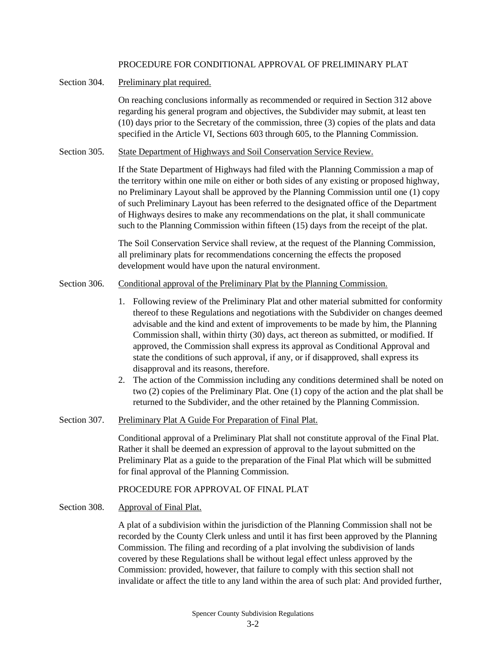## PROCEDURE FOR CONDITIONAL APPROVAL OF PRELIMINARY PLAT

## Section 304. Preliminary plat required.

On reaching conclusions informally as recommended or required in Section 312 above regarding his general program and objectives, the Subdivider may submit, at least ten (10) days prior to the Secretary of the commission, three (3) copies of the plats and data specified in the Article VI, Sections 603 through 605, to the Planning Commission.

Section 305. State Department of Highways and Soil Conservation Service Review.

If the State Department of Highways had filed with the Planning Commission a map of the territory within one mile on either or both sides of any existing or proposed highway, no Preliminary Layout shall be approved by the Planning Commission until one (1) copy of such Preliminary Layout has been referred to the designated office of the Department of Highways desires to make any recommendations on the plat, it shall communicate such to the Planning Commission within fifteen (15) days from the receipt of the plat.

The Soil Conservation Service shall review, at the request of the Planning Commission, all preliminary plats for recommendations concerning the effects the proposed development would have upon the natural environment.

- Section 306. Conditional approval of the Preliminary Plat by the Planning Commission.
	- 1. Following review of the Preliminary Plat and other material submitted for conformity thereof to these Regulations and negotiations with the Subdivider on changes deemed advisable and the kind and extent of improvements to be made by him, the Planning Commission shall, within thirty (30) days, act thereon as submitted, or modified. If approved, the Commission shall express its approval as Conditional Approval and state the conditions of such approval, if any, or if disapproved, shall express its disapproval and its reasons, therefore.
	- 2. The action of the Commission including any conditions determined shall be noted on two (2) copies of the Preliminary Plat. One (1) copy of the action and the plat shall be returned to the Subdivider, and the other retained by the Planning Commission.
- Section 307. Preliminary Plat A Guide For Preparation of Final Plat.

Conditional approval of a Preliminary Plat shall not constitute approval of the Final Plat. Rather it shall be deemed an expression of approval to the layout submitted on the Preliminary Plat as a guide to the preparation of the Final Plat which will be submitted for final approval of the Planning Commission.

## PROCEDURE FOR APPROVAL OF FINAL PLAT

Section 308. Approval of Final Plat.

A plat of a subdivision within the jurisdiction of the Planning Commission shall not be recorded by the County Clerk unless and until it has first been approved by the Planning Commission. The filing and recording of a plat involving the subdivision of lands covered by these Regulations shall be without legal effect unless approved by the Commission: provided, however, that failure to comply with this section shall not invalidate or affect the title to any land within the area of such plat: And provided further,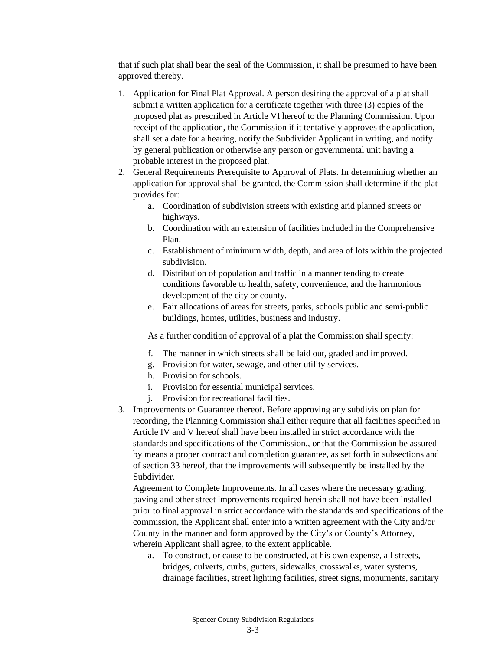that if such plat shall bear the seal of the Commission, it shall be presumed to have been approved thereby.

- 1. Application for Final Plat Approval. A person desiring the approval of a plat shall submit a written application for a certificate together with three (3) copies of the proposed plat as prescribed in Article VI hereof to the Planning Commission. Upon receipt of the application, the Commission if it tentatively approves the application, shall set a date for a hearing, notify the Subdivider Applicant in writing, and notify by general publication or otherwise any person or governmental unit having a probable interest in the proposed plat.
- 2. General Requirements Prerequisite to Approval of Plats. In determining whether an application for approval shall be granted, the Commission shall determine if the plat provides for:
	- a. Coordination of subdivision streets with existing arid planned streets or highways.
	- b. Coordination with an extension of facilities included in the Comprehensive Plan.
	- c. Establishment of minimum width, depth, and area of lots within the projected subdivision.
	- d. Distribution of population and traffic in a manner tending to create conditions favorable to health, safety, convenience, and the harmonious development of the city or county.
	- e. Fair allocations of areas for streets, parks, schools public and semi-public buildings, homes, utilities, business and industry.

As a further condition of approval of a plat the Commission shall specify:

- f. The manner in which streets shall be laid out, graded and improved.
- g. Provision for water, sewage, and other utility services.
- h. Provision for schools.
- i. Provision for essential municipal services.
- j. Provision for recreational facilities.
- 3. Improvements or Guarantee thereof. Before approving any subdivision plan for recording, the Planning Commission shall either require that all facilities specified in Article IV and V hereof shall have been installed in strict accordance with the standards and specifications of the Commission., or that the Commission be assured by means a proper contract and completion guarantee, as set forth in subsections and of section 33 hereof, that the improvements will subsequently be installed by the Subdivider.

Agreement to Complete Improvements. In all cases where the necessary grading, paving and other street improvements required herein shall not have been installed prior to final approval in strict accordance with the standards and specifications of the commission, the Applicant shall enter into a written agreement with the City and/or County in the manner and form approved by the City's or County's Attorney, wherein Applicant shall agree, to the extent applicable.

a. To construct, or cause to be constructed, at his own expense, all streets, bridges, culverts, curbs, gutters, sidewalks, crosswalks, water systems, drainage facilities, street lighting facilities, street signs, monuments, sanitary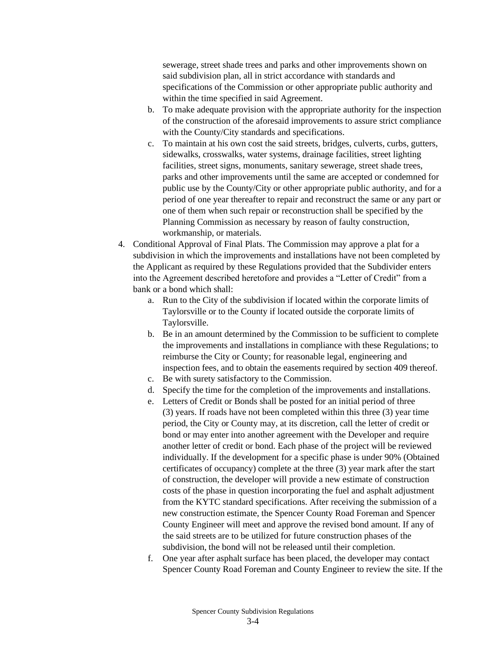sewerage, street shade trees and parks and other improvements shown on said subdivision plan, all in strict accordance with standards and specifications of the Commission or other appropriate public authority and within the time specified in said Agreement.

- b. To make adequate provision with the appropriate authority for the inspection of the construction of the aforesaid improvements to assure strict compliance with the County/City standards and specifications.
- c. To maintain at his own cost the said streets, bridges, culverts, curbs, gutters, sidewalks, crosswalks, water systems, drainage facilities, street lighting facilities, street signs, monuments, sanitary sewerage, street shade trees, parks and other improvements until the same are accepted or condemned for public use by the County/City or other appropriate public authority, and for a period of one year thereafter to repair and reconstruct the same or any part or one of them when such repair or reconstruction shall be specified by the Planning Commission as necessary by reason of faulty construction, workmanship, or materials.
- 4. Conditional Approval of Final Plats. The Commission may approve a plat for a subdivision in which the improvements and installations have not been completed by the Applicant as required by these Regulations provided that the Subdivider enters into the Agreement described heretofore and provides a "Letter of Credit" from a bank or a bond which shall:
	- a. Run to the City of the subdivision if located within the corporate limits of Taylorsville or to the County if located outside the corporate limits of Taylorsville.
	- b. Be in an amount determined by the Commission to be sufficient to complete the improvements and installations in compliance with these Regulations; to reimburse the City or County; for reasonable legal, engineering and inspection fees, and to obtain the easements required by section 409 thereof.
	- c. Be with surety satisfactory to the Commission.
	- d. Specify the time for the completion of the improvements and installations.
	- e. Letters of Credit or Bonds shall be posted for an initial period of three (3) years. If roads have not been completed within this three (3) year time period, the City or County may, at its discretion, call the letter of credit or bond or may enter into another agreement with the Developer and require another letter of credit or bond. Each phase of the project will be reviewed individually. If the development for a specific phase is under 90% (Obtained certificates of occupancy) complete at the three (3) year mark after the start of construction, the developer will provide a new estimate of construction costs of the phase in question incorporating the fuel and asphalt adjustment from the KYTC standard specifications. After receiving the submission of a new construction estimate, the Spencer County Road Foreman and Spencer County Engineer will meet and approve the revised bond amount. If any of the said streets are to be utilized for future construction phases of the subdivision, the bond will not be released until their completion.
	- f. One year after asphalt surface has been placed, the developer may contact Spencer County Road Foreman and County Engineer to review the site. If the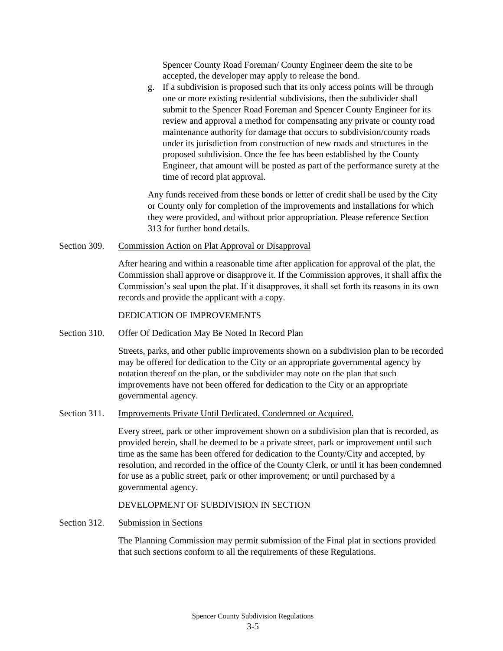Spencer County Road Foreman/ County Engineer deem the site to be accepted, the developer may apply to release the bond.

g. If a subdivision is proposed such that its only access points will be through one or more existing residential subdivisions, then the subdivider shall submit to the Spencer Road Foreman and Spencer County Engineer for its review and approval a method for compensating any private or county road maintenance authority for damage that occurs to subdivision/county roads under its jurisdiction from construction of new roads and structures in the proposed subdivision. Once the fee has been established by the County Engineer, that amount will be posted as part of the performance surety at the time of record plat approval.

Any funds received from these bonds or letter of credit shall be used by the City or County only for completion of the improvements and installations for which they were provided, and without prior appropriation. Please reference Section 313 for further bond details.

#### Section 309. Commission Action on Plat Approval or Disapproval

After hearing and within a reasonable time after application for approval of the plat, the Commission shall approve or disapprove it. If the Commission approves, it shall affix the Commission's seal upon the plat. If it disapproves, it shall set forth its reasons in its own records and provide the applicant with a copy.

#### DEDICATION OF IMPROVEMENTS

#### Section 310. Offer Of Dedication May Be Noted In Record Plan

Streets, parks, and other public improvements shown on a subdivision plan to be recorded may be offered for dedication to the City or an appropriate governmental agency by notation thereof on the plan, or the subdivider may note on the plan that such improvements have not been offered for dedication to the City or an appropriate governmental agency.

## Section 311. Improvements Private Until Dedicated. Condemned or Acquired.

Every street, park or other improvement shown on a subdivision plan that is recorded, as provided herein, shall be deemed to be a private street, park or improvement until such time as the same has been offered for dedication to the County/City and accepted, by resolution, and recorded in the office of the County Clerk, or until it has been condemned for use as a public street, park or other improvement; or until purchased by a governmental agency.

#### DEVELOPMENT OF SUBDIVISION IN SECTION

## Section 312. Submission in Sections

The Planning Commission may permit submission of the Final plat in sections provided that such sections conform to all the requirements of these Regulations.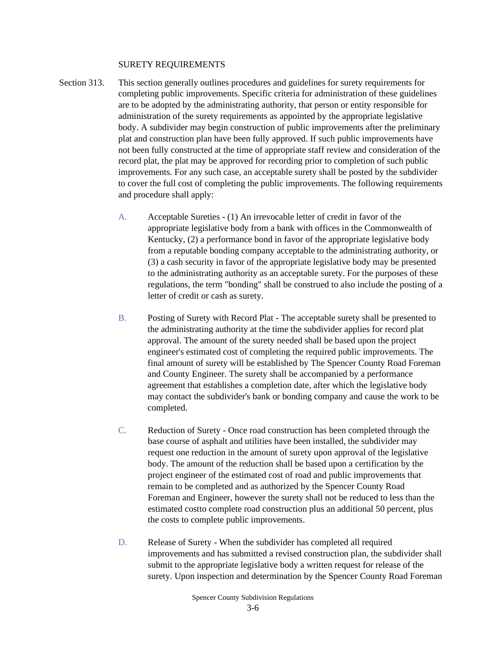#### SURETY REQUIREMENTS

- Section 313. This section generally outlines procedures and guidelines for surety requirements for completing public improvements. Specific criteria for administration of these guidelines are to be adopted by the administrating authority, that person or entity responsible for administration of the surety requirements as appointed by the appropriate legislative body. A subdivider may begin construction of public improvements after the preliminary plat and construction plan have been fully approved. If such public improvements have not been fully constructed at the time of appropriate staff review and consideration of the record plat, the plat may be approved for recording prior to completion of such public improvements. For any such case, an acceptable surety shall be posted by the subdivider to cover the full cost of completing the public improvements. The following requirements and procedure shall apply:
	- A. Acceptable Sureties (1) An irrevocable letter of credit in favor of the appropriate legislative body from a bank with offices in the Commonwealth of Kentucky, (2) a performance bond in favor of the appropriate legislative body from a reputable bonding company acceptable to the administrating authority, or (3) a cash security in favor of the appropriate legislative body may be presented to the administrating authority as an acceptable surety. For the purposes of these regulations, the term "bonding" shall be construed to also include the posting of a letter of credit or cash as surety.
	- B. Posting of Surety with Record Plat The acceptable surety shall be presented to the administrating authority at the time the subdivider applies for record plat approval. The amount of the surety needed shall be based upon the project engineer's estimated cost of completing the required public improvements. The final amount of surety will be established by The Spencer County Road Foreman and County Engineer. The surety shall be accompanied by a performance agreement that establishes a completion date, after which the legislative body may contact the subdivider's bank or bonding company and cause the work to be completed.
	- C. Reduction of Surety Once road construction has been completed through the base course of asphalt and utilities have been installed, the subdivider may request one reduction in the amount of surety upon approval of the legislative body. The amount of the reduction shall be based upon a certification by the project engineer of the estimated cost of road and public improvements that remain to be completed and as authorized by the Spencer County Road Foreman and Engineer, however the surety shall not be reduced to less than the estimated costto complete road construction plus an additional 50 percent, plus the costs to complete public improvements.
	- D. Release of Surety When the subdivider has completed all required improvements and has submitted a revised construction plan, the subdivider shall submit to the appropriate legislative body a written request for release of the surety. Upon inspection and determination by the Spencer County Road Foreman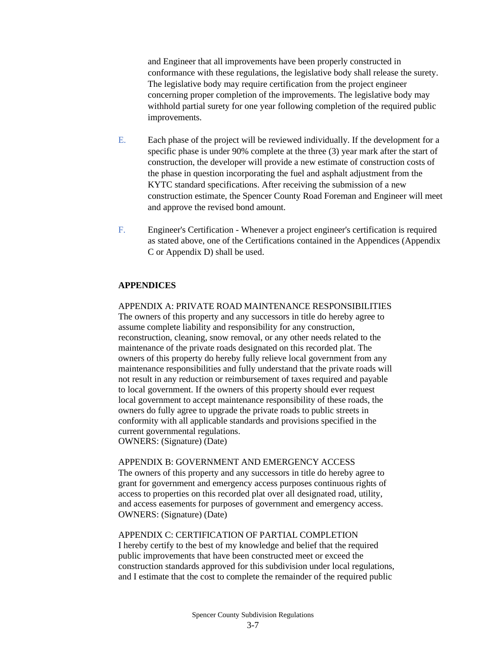and Engineer that all improvements have been properly constructed in conformance with these regulations, the legislative body shall release the surety. The legislative body may require certification from the project engineer concerning proper completion of the improvements. The legislative body may withhold partial surety for one year following completion of the required public improvements.

- E. Each phase of the project will be reviewed individually. If the development for a specific phase is under 90% complete at the three (3) year mark after the start of construction, the developer will provide a new estimate of construction costs of the phase in question incorporating the fuel and asphalt adjustment from the KYTC standard specifications. After receiving the submission of a new construction estimate, the Spencer County Road Foreman and Engineer will meet and approve the revised bond amount.
- F. Engineer's Certification Whenever a project engineer's certification is required as stated above, one of the Certifications contained in the Appendices (Appendix C or Appendix D) shall be used.

## **APPENDICES**

#### APPENDIX A: PRIVATE ROAD MAINTENANCE RESPONSIBILITIES

The owners of this property and any successors in title do hereby agree to assume complete liability and responsibility for any construction, reconstruction, cleaning, snow removal, or any other needs related to the maintenance of the private roads designated on this recorded plat. The owners of this property do hereby fully relieve local government from any maintenance responsibilities and fully understand that the private roads will not result in any reduction or reimbursement of taxes required and payable to local government. If the owners of this property should ever request local government to accept maintenance responsibility of these roads, the owners do fully agree to upgrade the private roads to public streets in conformity with all applicable standards and provisions specified in the current governmental regulations.

OWNERS: (Signature) (Date)

#### APPENDIX B: GOVERNMENT AND EMERGENCY ACCESS

The owners of this property and any successors in title do hereby agree to grant for government and emergency access purposes continuous rights of access to properties on this recorded plat over all designated road, utility, and access easements for purposes of government and emergency access. OWNERS: (Signature) (Date)

## APPENDIX C: CERTIFICATION OF PARTIAL COMPLETION

I hereby certify to the best of my knowledge and belief that the required public improvements that have been constructed meet or exceed the construction standards approved for this subdivision under local regulations, and I estimate that the cost to complete the remainder of the required public